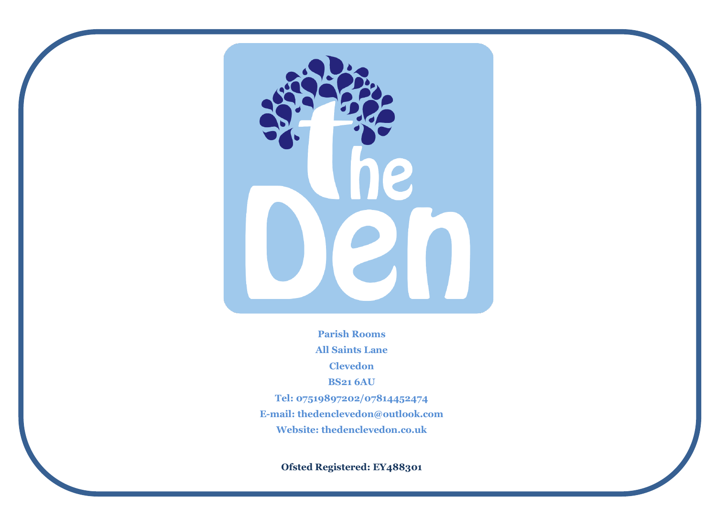

**Parish Rooms All Saints Lane Clevedon BS21 6AU Tel: 07519897202/07814452474 E-mail: thedenclevedon@outlook.com Website: thedenclevedon.co.uk**

**Ofsted Registered: EY488301**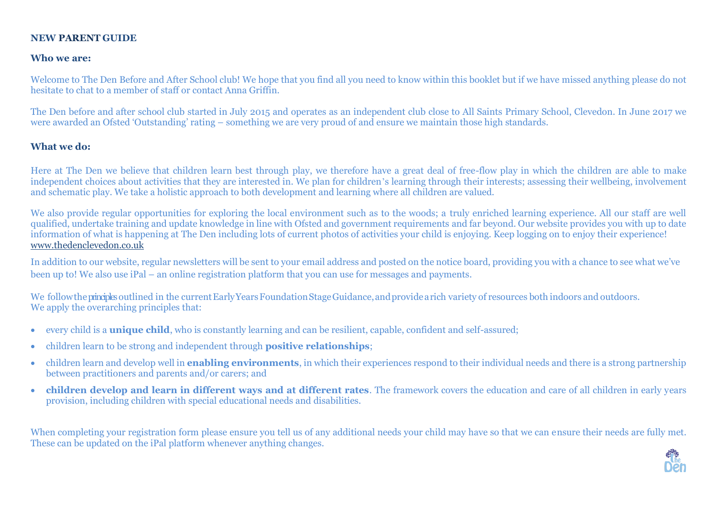#### **NEW PARENT GUIDE**

#### **Who we are:**

Welcome to The Den Before and After School club! We hope that you find all you need to know within this booklet but if we have missed anything please do not hesitate to chat to a member of staff or contact Anna Griffin.

The Den before and after school club started in July 2015 and operates as an independent club close to All Saints Primary School, Clevedon. In June 2017 we were awarded an Ofsted 'Outstanding' rating – something we are very proud of and ensure we maintain those high standards.

### **What we do:**

Here at The Den we believe that children learn best through play, we therefore have a great deal of free-flow play in which the children are able to make independent choices about activities that they are interested in. We plan for children's learning through their interests; assessing their wellbeing, involvement and schematic play. We take a holistic approach to both development and learning where all children are valued.

We also provide regular opportunities for exploring the local environment such as to the woods; a truly enriched learning experience. All our staff are well qualified, undertake training and update knowledge in line with Ofsted and government requirements and far beyond. Our website provides you with up to date information of what is happening at The Den including lots of current photos of activities your child is enjoying. Keep logging on to enjoy their experience! www.thedenclevedon.co.uk

In addition to our website, regular newsletters will be sent to your email address and posted on the notice board, providing you with a chance to see what we've been up to! We also use iPal – an online registration platform that you can use for messages and payments.

We follow the principles outlined in the current Early Years Foundation Stage Guidance, and provide a rich variety of resources both indoors and outdoors. We apply the overarching principles that:

- every child is a **unique child**, who is constantly learning and can be resilient, capable, confident and self-assured;
- children learn to be strong and independent through **positive relationships**;
- children learn and develop well in **enabling environments**, in which their experiences respond to their individual needs and there is a strong partnership between practitioners and parents and/or carers; and
- **children develop and learn in different ways and at different rates**. The framework covers the education and care of all children in early years provision, including children with special educational needs and disabilities.

When completing your registration form please ensure you tell us of any additional needs your child may have so that we can ensure their needs are fully met. These can be updated on the iPal platform whenever anything changes.

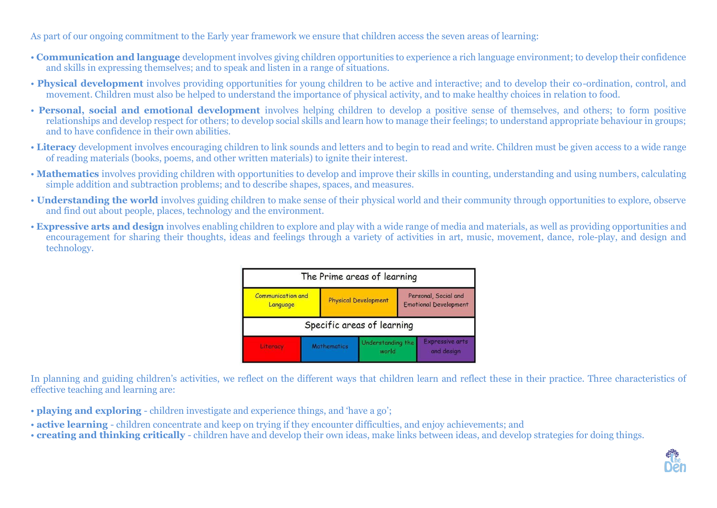As part of our ongoing commitment to the Early year framework we ensure that children access the seven areas of learning:

- **Communication and language** development involves giving children opportunities to experience a rich language environment; to develop their confidence and skills in expressing themselves; and to speak and listen in a range of situations.
- **Physical development** involves providing opportunities for young children to be active and interactive; and to develop their co-ordination, control, and movement. Children must also be helped to understand the importance of physical activity, and to make healthy choices in relation to food.
- **Personal, social and emotional development** involves helping children to develop a positive sense of themselves, and others; to form positive relationships and develop respect for others; to develop social skills and learn how to manage their feelings; to understand appropriate behaviour in groups; and to have confidence in their own abilities.
- **Literacy** development involves encouraging children to link sounds and letters and to begin to read and write. Children must be given access to a wide range of reading materials (books, poems, and other written materials) to ignite their interest.
- **Mathematics** involves providing children with opportunities to develop and improve their skills in counting, understanding and using numbers, calculating simple addition and subtraction problems; and to describe shapes, spaces, and measures.
- **Understanding the world** involves guiding children to make sense of their physical world and their community through opportunities to explore, observe and find out about people, places, technology and the environment.
- **Expressive arts and design** involves enabling children to explore and play with a wide range of media and materials, as well as providing opportunities and encouragement for sharing their thoughts, ideas and feelings through a variety of activities in art, music, movement, dance, role-play, and design and technology.

| The Prime areas of learning          |                    |                             |                            |                                                      |                                      |
|--------------------------------------|--------------------|-----------------------------|----------------------------|------------------------------------------------------|--------------------------------------|
| <b>Communication and</b><br>Language |                    | <b>Physical Development</b> |                            | Personal, Social and<br><b>Emotional Development</b> |                                      |
| Specific areas of learning           |                    |                             |                            |                                                      |                                      |
| Literacy                             | <b>Mathematics</b> |                             | Understanding the<br>world |                                                      | <b>Expressive arts</b><br>and design |

In planning and guiding children's activities, we reflect on the different ways that children learn and reflect these in their practice. Three characteristics of effective teaching and learning are:

- **playing and exploring**  children investigate and experience things, and 'have a go';
- **active learning**  children concentrate and keep on trying if they encounter difficulties, and enjoy achievements; and
- **creating and thinking critically**  children have and develop their own ideas, make links between ideas, and develop strategies for doing things.

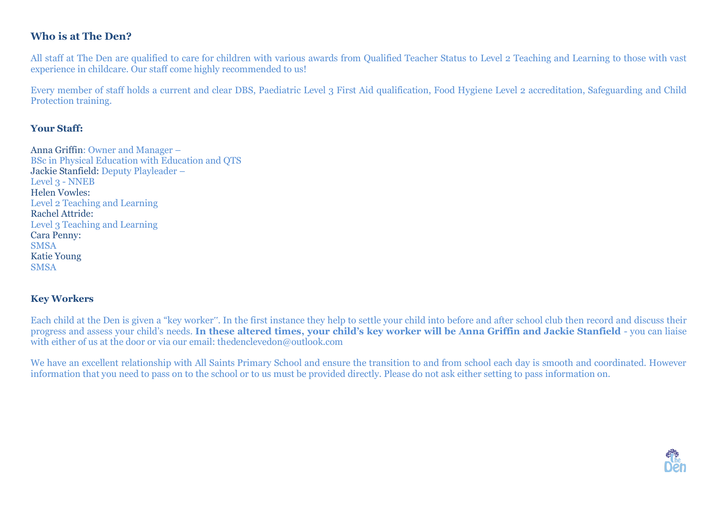## **Who is at The Den?**

All staff at The Den are qualified to care for children with various awards from Qualified Teacher Status to Level 2 Teaching and Learning to those with vast experience in childcare. Our staff come highly recommended to us!

Every member of staff holds a current and clear DBS, Paediatric Level 3 First Aid qualification, Food Hygiene Level 2 accreditation, Safeguarding and Child Protection training.

#### **Your Staff:**

Anna Griffin: Owner and Manager – BSc in Physical Education with Education and QTS Jackie Stanfield: Deputy Playleader – Level 3 - NNEB Helen Vowles: Level 2 Teaching and Learning Rachel Attride: Level 3 Teaching and Learning Cara Penny: **SMSA** Katie Young **SMSA** 

### **Key Workers**

Each child at the Den is given a "key worker". In the first instance they help to settle your child into before and after school club then record and discuss their progress and assess your child's needs. **In these altered times, your child's key worker will be Anna Griffin and Jackie Stanfield** - you can liaise with either of us at the door or via our email: thedenclevedon@outlook.com

We have an excellent relationship with All Saints Primary School and ensure the transition to and from school each day is smooth and coordinated. However information that you need to pass on to the school or to us must be provided directly. Please do not ask either setting to pass information on.

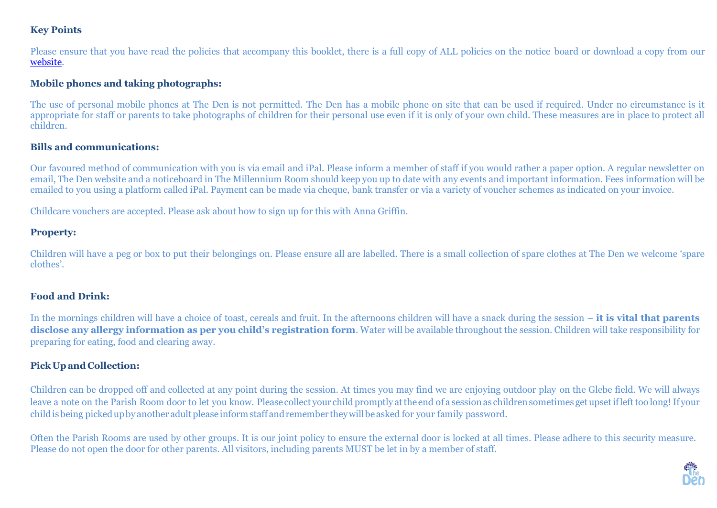## **Key Points**

Please ensure that you have read the policies that accompany this booklet, there is a full copy of ALL policies on the notice board or download a copy from our [website.](http://www.thedenclevedon.co.uk/policies/4588784024?preview=Y;use_flash=1)

### **Mobile phones and taking photographs:**

The use of personal mobile phones at The Den is not permitted. The Den has a mobile phone on site that can be used if required. Under no circumstance is it appropriate for staff or parents to take photographs of children for their personal use even if it is only of your own child. These measures are in place to protect all children.

### **Bills and communications:**

Our favoured method of communication with you is via email and iPal. Please inform a member of staff if you would rather a paper option. A regular newsletter on email, The Den website and a noticeboard in The Millennium Room should keep you up to date with any events and important information. Fees information will be emailed to you using a platform called iPal. Payment can be made via cheque, bank transfer or via a variety of voucher schemes as indicated on your invoice.

Childcare vouchers are accepted. Please ask about how to sign up for this with Anna Griffin.

### **Property:**

Children will have a peg or box to put their belongings on. Please ensure all are labelled. There is a small collection of spare clothes at The Den we welcome 'spare clothes'.

### **Food and Drink:**

In the mornings children will have a choice of toast, cereals and fruit. In the afternoons children will have a snack during the session – **it is vital that parents disclose any allergy information as per you child's registration form**. Water will be available throughout the session. Children will take responsibility for preparing for eating, food and clearing away.

## **Pick Upand Collection:**

Children can be dropped off and collected at any point during the session. At times you may find we are enjoying outdoor play on the Glebe field. We will always leave a note on the Parish Room door to let you know. Please collect your child promptly at the end of a session as children sometimes get upset if left too long! If your child is being picked up by another adult please inform staff and remember they will be asked for your family password.

Often the Parish Rooms are used by other groups. It is our joint policy to ensure the external door is locked at all times. Please adhere to this security measure. Please do not open the door for other parents. All visitors, including parents MUST be let in by a member of staff.

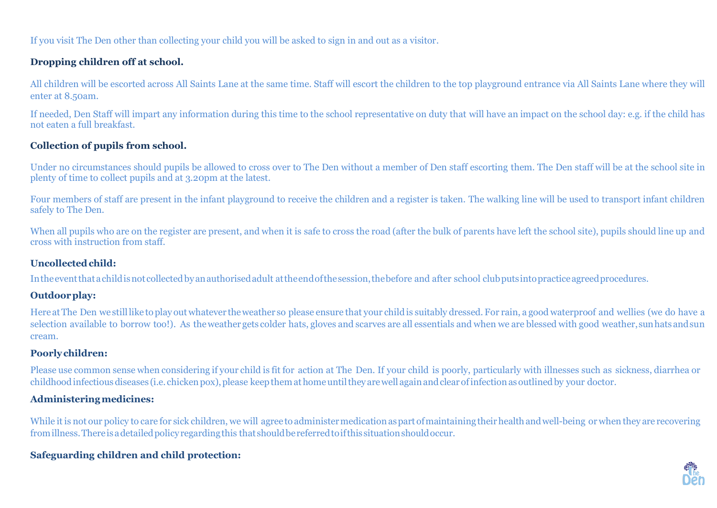If you visit The Den other than collecting your child you will be asked to sign in and out as a visitor.

## **Dropping children off at school.**

All children will be escorted across All Saints Lane at the same time. Staff will escort the children to the top playground entrance via All Saints Lane where they will enter at 8.50am.

If needed, Den Staff will impart any information during this time to the school representative on duty that will have an impact on the school day: e.g. if the child has not eaten a full breakfast.

# **Collection of pupils from school.**

Under no circumstances should pupils be allowed to cross over to The Den without a member of Den staff escorting them. The Den staff will be at the school site in plenty of time to collect pupils and at 3.20pm at the latest.

Four members of staff are present in the infant playground to receive the children and a register is taken. The walking line will be used to transport infant children safely to The Den.

When all pupils who are on the register are present, and when it is safe to cross the road (after the bulk of parents have left the school site), pupils should line up and cross with instruction from staff.

### **Uncollectedchild:**

Intheeventthatachildisnotcollectedbyanauthorisedadult attheendofthesession,thebefore and after school clubputsintopracticeagreedprocedures.

## **Outdoorplay:**

Here atThe Den we stilllike toplay out whatever theweather so please ensure that your child is suitably dressed. For rain, a good waterproof and wellies (we do have a selection available to borrow too!). As theweather gets colder hats, gloves and scarves are all essentials and when we are blessed with good weather,sunhatsandsun cream.

## **Poorlychildren:**

Please use common sense when considering if your child is fit for action at The Den. If your child is poorly, particularly with illnesses such as sickness, diarrhea or childhood infectious diseases (i.e. chicken pox), please keep them at home until they are well again and clear of infection as outlined by your doctor.

# **Administeringmedicines:**

While it is not our policy to care for sick children, we will agree to administer medication as part of maintaining their health and well-being or when they are recovering fromillness.Thereisadetailedpolicy regardingthis that shouldbereferredtoifthis situationshouldoccur.

# **Safeguarding children and child protection:**

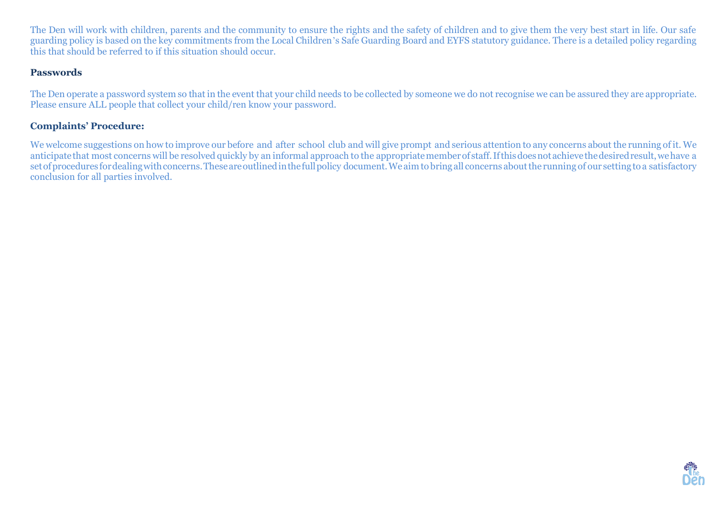The Den will work with children, parents and the community to ensure the rights and the safety of children and to give them the very best start in life. Our safe guarding policy is based on the key commitments from the Local Children's Safe Guarding Board and EYFS statutory guidance. There is a detailed policy regarding this that should be referred to if this situation should occur.

#### **Passwords**

The Den operate a password system so that in the event that your child needs to be collected by someone we do not recognise we can be assured they are appropriate. Please ensure ALL people that collect your child/ren know your password.

#### **Complaints' Procedure:**

We welcome suggestions on how to improve our before and after school club and will give prompt and serious attention to any concerns about the running of it. We anticipate that most concerns will be resolved quickly by an informal approach to the appropriate member of staff. If this does not achieve the desired result, we have a set of procedures for dealing with concerns. These are outlined in the full policy document. We aim to bring all concerns about the running of our setting to a satisfactory conclusion for all parties involved.